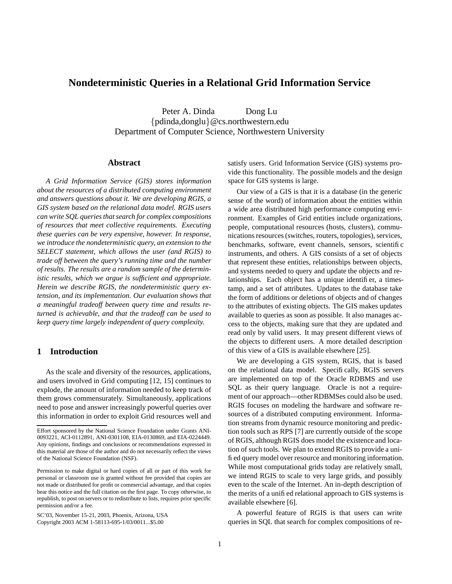# **Nondeterministic Queries in a Relational Grid Information Service**

Peter A. Dinda Dong Lu {pdinda,donglu}@cs.northwestern.edu Department of Computer Science, Northwestern University

# **Abstract**

*A Grid Information Service (GIS) stores information about the resources of a distributed computing environment and answers questions about it. We are developing RGIS, a GIS system based on the relational data model. RGIS users can write SQL queriesthat search for complex compositions of resources that meet collective requirements. Executing these queries can be very expensive, however. In response, we introduce the nondeterministic query, an extension to the SELECT statement, which allows the user (and RGIS) to trade off between the query's running time and the number of results. The results are a random sample of the deterministic results, which we argue is sufficient and appropriate. Herein we describe RGIS, the nondeterministic query extension, and its implementation. Our evaluation shows that a meaningful tradeoff between query time and results returned is achievable, and that the tradeoff can be used to keep query time largely independent of query complexity.*

# **1 Introduction**

As the scale and diversity of the resources, applications, and users involved in Grid computing [12, 15] continues to explode, the amount of information needed to keep track of them grows commensurately. Simultaneously, applications need to pose and answer increasingly powerful queries over this information in order to exploit Grid resources well and

SC'03, November 15-21, 2003, Phoenix, Arizona, USA Copyright 2003 ACM 1-58113-695-1/03/0011...\$5.00

satisfy users. Grid Information Service (GIS) systems provide this functionality. The possible models and the design space for GIS systems is large.

Our view of a GIS is that it is a database (in the generic sense of the word) of information about the entities within a wide area distributed high performance computing environment. Examples of Grid entities include organizations, people, computational resources (hosts, clusters), communications resources (switches, routers, topologies), services, benchmarks, software, event channels, sensors, scientific instruments, and others. A GIS consists of a set of objects that represent these entities, relationships between objects, and systems needed to query and update the objects and relationships. Each object has a unique identifier, a timestamp, and a set of attributes. Updates to the database take the form of additions or deletions of objects and of changes to the attributes of existing objects. The GIS makes updates available to queries as soon as possible. It also manages access to the objects, making sure that they are updated and read only by valid users. It may present different views of the objects to different users. A more detailed description of this view of a GIS is available elsewhere [25].

We are developing a GIS system, RGIS, that is based on the relational data model. Specifically, RGIS servers are implemented on top of the Oracle RDBMS and use SQL as their query language. Oracle is not a requirement of our approach—otherRDBMSes could also be used. RGIS focuses on modeling the hardware and software resources of a distributed computing environment. Information streams from dynamic resource monitoring and prediction tools such as RPS [7] are currently outside of the scope of RGIS, although RGIS does model the existence and location of such tools. We plan to extend RGIS to provide a unified query model over resource and monitoring information. While most computational grids today are relatively small, we intend RGIS to scale to very large grids, and possibly even to the scale of the Internet. An in-depth description of the merits of a unified relational approach to GIS systems is available elsewhere [6].

A powerful feature of RGIS is that users can write queries in SQL that search for complex compositions of re-

Effort sponsored by the National Science Foundation under Grants ANI-0093221, ACI-0112891, ANI-0301108, EIA-0130869, and EIA-0224449. Any opinions, findings and conclusions or recommendations expressed in this material are those of the author and do not necessarily reflect the views of the National Science Foundation (NSF).

Permission to make digital or hard copies of all or part of this work for personal or classroom use is granted without fee provided that copies are not made or distributed for profit or commercial advantage, and that copies bear this notice and the full citation on the first page. To copy otherwise, to republish, to post on servers or to redistribute to lists, requires prior specific permission and/or a fee.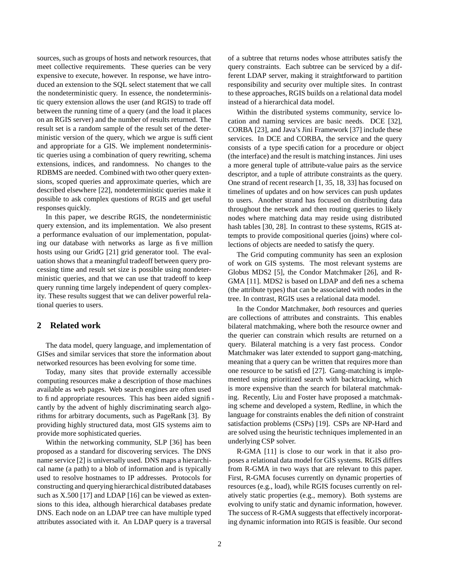sources, such as groups of hosts and network resources, that meet collective requirements. These queries can be very expensive to execute, however. In response, we have introduced an extension to the SQL select statement that we call the nondeterministic query. In essence, the nondeterministic query extension allows the user (and RGIS) to trade off between the running time of a query (and the load it places on an RGIS server) and the number of results returned. The result set is a random sample of the result set of the deterministic version of the query, which we argue is sufficient and appropriate for a GIS. We implement nondeterministic queries using a combination of query rewriting, schema extensions, indices, and randomness. No changes to the RDBMS are needed. Combined with two other query extensions, scoped queries and approximate queries, which are described elsewhere [22], nondeterministic queries make it possible to ask complex questions of RGIS and get useful responses quickly.

In this paper, we describe RGIS, the nondeterministic query extension, and its implementation. We also present a performance evaluation of our implementation, populating our database with networks as large as five million hosts using our GridG [21] grid generator tool. The evaluation shows that a meaningful tradeoff between query processing time and result set size is possible using nondeterministic queries, and that we can use that tradeoff to keep query running time largely independent of query complexity. These results suggest that we can deliver powerful relational queries to users.

## **2 Related work**

The data model, query language, and implementation of GISes and similar services that store the information about networked resources has been evolving for some time.

Today, many sites that provide externally accessible computing resources make a description of those machines available as web pages. Web search engines are often used to find appropriate resources. This has been aided significantly by the advent of highly discriminating search algorithms for arbitrary documents, such as PageRank [3]. By providing highly structured data, most GIS systems aim to provide more sophisticated queries.

Within the networking community, SLP [36] has been proposed as a standard for discovering services. The DNS name service [2] is universally used. DNS maps a hierarchical name (a path) to a blob of information and is typically used to resolve hostnames to IP addresses. Protocols for constructing and querying hierarchical distributed databases such as X.500 [17] and LDAP [16] can be viewed as extensions to this idea, although hierarchical databases predate DNS. Each node on an LDAP tree can have multiple typed attributes associated with it. An LDAP query is a traversal

of a subtree that returns nodes whose attributes satisfy the query constraints. Each subtree can be serviced by a different LDAP server, making it straightforward to partition responsibility and security over multiple sites. In contrast to these approaches, RGIS builds on a relational data model instead of a hierarchical data model.

Within the distributed systems community, service location and naming services are basic needs. DCE [32], CORBA [23], and Java's Jini Framework [37] include these services. In DCE and CORBA, the service and the query consists of a type specification for a procedure or object (the interface) and the result is matching instances. Jini uses a more general tuple of attribute-value pairs as the service descriptor, and a tuple of attribute constraints as the query. One strand of recent research [1, 35, 18, 33] has focused on timelines of updates and on how services can push updates to users. Another strand has focused on distributing data throughout the network and then routing queries to likely nodes where matching data may reside using distributed hash tables [30, 28]. In contrast to these systems, RGIS attempts to provide compositional queries (joins) where collections of objects are needed to satisfy the query.

The Grid computing community has seen an explosion of work on GIS systems. The most relevant systems are Globus MDS2 [5], the Condor Matchmaker [26], and R-GMA [11]. MDS2 is based on LDAP and defines a schema (the attribute types) that can be associated with nodes in the tree. In contrast, RGIS uses a relational data model.

In the Condor Matchmaker, *both* resources and queries are collections of attributes and constraints. This enables bilateral matchmaking, where both the resource owner and the querier can constrain which results are returned on a query. Bilateral matching is a very fast process. Condor Matchmaker was later extended to support gang-matching, meaning that a query can be written that requires more than one resource to be satisfied [27]. Gang-matching is implemented using prioritized search with backtracking, which is more expensive than the search for bilateral matchmaking. Recently, Liu and Foster have proposed a matchmaking scheme and developed a system, Redline, in which the language for constraints enables the definition of constraint satisfaction problems (CSPs) [19]. CSPs are NP-Hard and are solved using the heuristic techniques implemented in an underlying CSP solver.

R-GMA [11] is close to our work in that it also proposes a relational data model for GIS systems. RGIS differs from R-GMA in two ways that are relevant to this paper. First, R-GMA focuses currently on dynamic properties of resources (e.g., load), while RGIS focuses currently on relatively static properties (e.g., memory). Both systems are evolving to unify static and dynamic information, however. The success of R-GMA suggests that effectively incorporating dynamic information into RGIS is feasible. Our second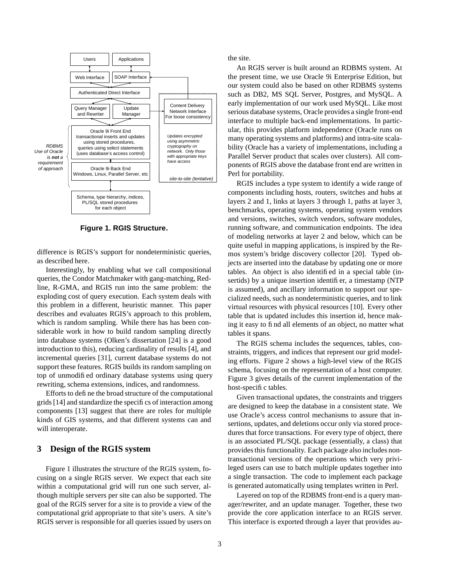

**Figure 1. RGIS Structure.**

difference is RGIS's support for nondeterministic queries, as described here.

Interestingly, by enabling what we call compositional queries, the Condor Matchmaker with gang-matching, Redline, R-GMA, and RGIS run into the same problem: the exploding cost of query execution. Each system deals with this problem in a different, heuristic manner. This paper describes and evaluates RGIS's approach to this problem, which is random sampling. While there has has been considerable work in how to build random sampling directly into database systems (Olken's dissertation [24] is a good introduction to this), reducing cardinality of results [4], and incremental queries [31], current database systems do not support these features. RGIS builds its random sampling on top of unmodified ordinary database systems using query rewriting, schema extensions, indices, and randomness.

Efforts to define the broad structure of the computational grids[14] and standardize the specifics of interaction among components [13] suggest that there are roles for multiple kinds of GIS systems, and that different systems can and will interoperate.

### **3 Design of the RGIS system**

Figure 1 illustrates the structure of the RGIS system, focusing on a single RGIS server. We expect that each site within a computational grid will run one such server, although multiple servers per site can also be supported. The goal of the RGIS server for a site is to provide a view of the computational grid appropriate to that site's users. A site's RGIS server is responsible for all queries issued by users on the site.

An RGIS server is built around an RDBMS system. At the present time, we use Oracle 9i Enterprise Edition, but our system could also be based on other RDBMS systems such as DB2, MS SQL Server, Postgres, and MySQL. A early implementation of our work used MySQL. Like most serious database systems, Oracle provides a single front-end interface to multiple back-end implementations. In particular, this provides platform independence (Oracle runs on many operating systems and platforms) and intra-site scalability (Oracle has a variety of implementations, including a Parallel Server product that scales over clusters). All components of RGIS above the database front end are written in Perl for portability.

RGIS includes a type system to identify a wide range of components including hosts, routers, switches and hubs at layers 2 and 1, links at layers 3 through 1, paths at layer 3, benchmarks, operating systems, operating system vendors and versions, switches, switch vendors, software modules, running software, and communication endpoints. The idea of modeling networks at layer 2 and below, which can be quite useful in mapping applications, is inspired by the Remos system's bridge discovery collector [20]. Typed objects are inserted into the database by updating one or more tables. An object is also identified in a special table (insertids) by a unique insertion identifier, a timestamp (NTP is assumed), and ancillary information to support our specialized needs, such as nondeterministic queries, and to link virtual resources with physical resources [10]. Every other table that is updated includes this insertion id, hence making it easy to find all elements of an object, no matter what tables it spans.

The RGIS schema includes the sequences, tables, constraints, triggers, and indices that represent our grid modeling efforts. Figure 2 shows a high-level view of the RGIS schema, focusing on the representation of a host computer. Figure 3 gives details of the current implementation of the host-specific tables.

Given transactional updates, the constraints and triggers are designed to keep the database in a consistent state. We use Oracle's access control mechanisms to assure that insertions, updates, and deletions occur only via stored procedures that force transactions. For every type of object, there is an associated PL/SQL package (essentially, a class) that provides this functionality. Each package also includes nontransactional versions of the operations which very privileged users can use to batch multiple updates together into a single transaction. The code to implement each package is generated automatically using templates written in Perl.

Layered on top of the RDBMS front-end is a query manager/rewriter, and an update manager. Together, these two provide the core application interface to an RGIS server. This interface is exported through a layer that provides au-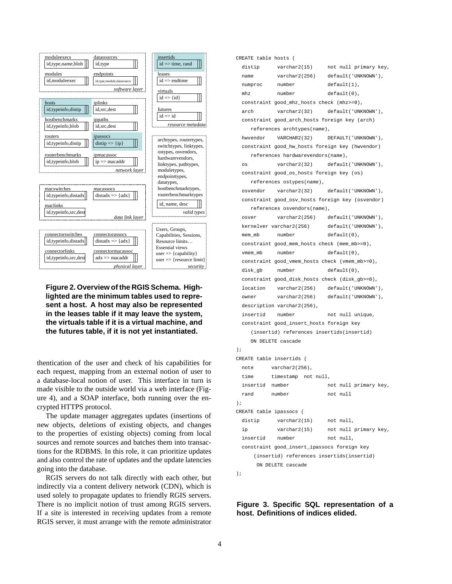

**Figure 2. Overview of the RGIS Schema. Highlighted are the minimum tables used to represent a host. A host may also be represented in the leases table if it may leave the system, the virtuals table if it is a virtual machine, and the futures table, if it is not yet instantiated.**

thentication of the user and check of his capabilities for each request, mapping from an external notion of user to a database-local notion of user. This interface in turn is made visible to the outside world via a web interface (Figure 4), and a SOAP interface, both running over the encrypted HTTPS protocol.

The update manager aggregates updates (insertions of new objects, deletions of existing objects, and changes to the properties of existing objects) coming from local sources and remote sources and batches them into transactions for the RDBMS. In this role, it can prioritize updates and also control the rate of updates and the update latencies going into the database.

RGIS servers do not talk directly with each other, but indirectly via a content delivery network (CDN), which is used solely to propagate updates to friendly RGIS servers. There is no implicit notion of trust among RGIS servers. If a site is interested in receiving updates from a remote RGIS server, it must arrange with the remote administrator

CREATE table hosts ( distip varchar2(15) not null primary key. name varchar2(256) default('UNKNOWN'), numproc number default(1), mhz number default(0), constraint good\_mhz\_hosts check (mhz>=0), arch varchar2(32) default('UNKNOWN'), constraint good\_arch\_hosts foreign key (arch) references archtypes(name), hwvendor VARCHAR2(32) DEFAULT('UNKNOWN'), constraint good\_hw\_hosts foreign key (hwvendor) references hardwarevendors(name), os varchar2(32) default('UNKNOWN'), constraint good\_os\_hosts foreign key (os) references ostypes(name), osvendor varchar2(32) default('UNKNOWN'), constraint good\_osv\_hosts foreign key (osvendor) references osvendors(name), osver varchar2(256) default('UNKNOWN'), kernelver varchar2(256) default('UNKNOWN'), mem\_mb number default(0), constraint good\_mem\_hosts check (mem\_mb>=0), vmem\_mb number default(0), constraint good\_vmem\_hosts check (vmem\_mb>=0), disk qb number default(0), constraint good\_disk\_hosts check (disk\_gb>=0), location varchar2(256) default('UNKNOWN'), owner varchar2(256) default('UNKNOWN'), description varchar2(256), insertid number not null unique, constraint good\_insert\_hosts foreign key (insertid) references insertids(insertid) ON DELETE cascade ); CREATE table insertids ( note varchar2(256), time timestamp not null, insertid number not null primary key, rand number not null ); CREATE table ipassocs ( distip varchar2(15) not null, ip varchar2(15) not null primary key, insertid number not null, constraint good\_insert\_ipassocs foreign key (insertid) references insertids(insertid) ON DELETE cascade  $\lambda$ ;

**Figure 3. Specific SQL representation of a host. Definitions of indices elided.**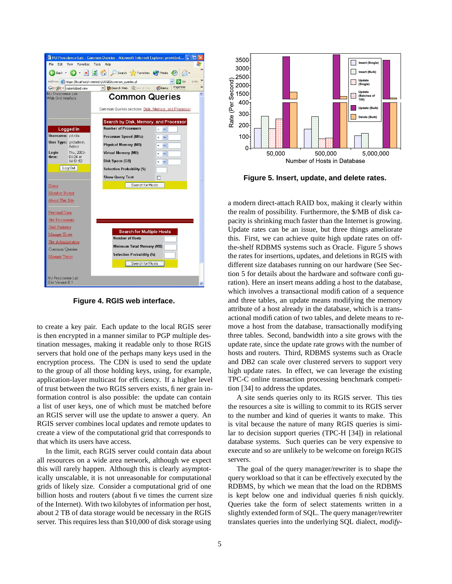

**Figure 4. RGIS web interface.**

to create a key pair. Each update to the local RGIS serer is then encrypted in a manner similar to PGP multiple destination messages, making it readable only to those RGIS servers that hold one of the perhaps many keys used in the encryption process. The CDN is used to send the update to the group of all those holding keys, using, for example, application-layer multicast for efficiency. If a higher level of trust between the two RGIS servers exists, finer grain information control is also possible: the update can contain a list of user keys, one of which must be matched before an RGIS server will use the update to answer a query. An RGIS server combines local updates and remote updates to create a view of the computational grid that corresponds to that which its users have access.

In the limit, each RGIS server could contain data about all resources on a wide area network, although we expect this will rarely happen. Although this is clearly asymptotically unscalable, it is not unreasonable for computational grids of likely size. Consider a computational grid of one billion hosts and routers (about five times the current size of the Internet). With two kilobytes of information per host, about 2 TB of data storage would be necessary in the RGIS server. This requires less than \$10,000 of disk storage using



**Figure 5. Insert, update, and delete rates.**

a modern direct-attach RAID box, making it clearly within the realm of possibility. Furthermore, the \$/MB of disk capacity is shrinking much faster than the Internet is growing. Update rates can be an issue, but three things ameliorate this. First, we can achieve quite high update rates on offthe-shelf RDBMS systems such as Oracle. Figure 5 shows the rates for insertions, updates, and deletions in RGIS with different size databases running on our hardware (See Section 5 for details about the hardware and software configuration). Here an insert means adding a host to the database, which involves a transactional modification of a sequence and three tables, an update means modifying the memory attribute of a host already in the database, which is a transactional modification of two tables, and delete means to remove a host from the database, transactionally modifying three tables. Second, bandwidth into a site grows with the update rate, since the update rate grows with the number of hosts and routers. Third, RDBMS systems such as Oracle and DB2 can scale over clustered servers to support very high update rates. In effect, we can leverage the existing TPC-C online transaction processing benchmark competition [34] to address the updates.

A site sends queries only to its RGIS server. This ties the resources a site is willing to commit to its RGIS server to the number and kind of queries it wants to make. This is vital because the nature of many RGIS queries is similar to decision support queries (TPC-H [34]) in relational database systems. Such queries can be very expensive to execute and so are unlikely to be welcome on foreign RGIS servers.

The goal of the query manager/rewriter is to shape the query workload so that it can be effectively executed by the RDBMS, by which we mean that the load on the RDBMS is kept below one and individual queries finish quickly. Queries take the form of select statements written in a slightly extended form of SQL. The query manager/rewriter translates queries into the underlying SQL dialect, *modify-*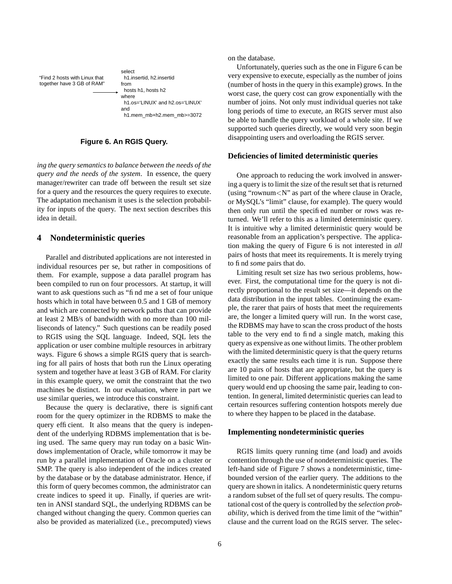"Find 2 hosts with Linux that together have 3 GB of RAM"

select h1.insertid, h2.insertid from hosts h1, hosts h2 where h1.os='LINUX' and h2.os='LINUX' and h1.mem\_mb+h2.mem\_mb>=3072

#### **Figure 6. An RGIS Query.**

*ing the query semantics to balance between the needs of the query and the needs of the system*. In essence, the query manager/rewriter can trade off between the result set size for a query and the resources the query requires to execute. The adaptation mechanism it uses is the selection probability for inputs of the query. The next section describes this idea in detail.

#### **4 Nondeterministic queries**

Parallel and distributed applications are not interested in individual resources per se, but rather in compositions of them. For example, suppose a data parallel program has been compiled to run on four processors. At startup, it will want to ask questions such as "find me a set of four unique hosts which in total have between 0.5 and 1 GB of memory and which are connected by network paths that can provide at least 2 MB/s of bandwidth with no more than 100 milliseconds of latency." Such questions can be readily posed to RGIS using the SQL language. Indeed, SQL lets the application or user combine multiple resources in arbitrary ways. Figure 6 shows a simple RGIS query that is searching for all pairs of hosts that both run the Linux operating system and together have at least 3 GB of RAM. For clarity in this example query, we omit the constraint that the two machines be distinct. In our evaluation, where in part we use similar queries, we introduce this constraint.

Because the query is declarative, there is significant room for the query optimizer in the RDBMS to make the query efficient. It also means that the query is independent of the underlying RDBMS implementation that is being used. The same query may run today on a basic Windows implementation of Oracle, while tomorrow it may be run by a parallel implementation of Oracle on a cluster or SMP. The query is also independent of the indices created by the database or by the database administrator. Hence, if this form of query becomes common, the administrator can create indices to speed it up. Finally, if queries are written in ANSI standard SQL, the underlying RDBMS can be changed without changing the query. Common queries can also be provided as materialized (i.e., precomputed) views

on the database.

Unfortunately, queries such as the one in Figure 6 can be very expensive to execute, especially as the number of joins (number of hosts in the query in this example) grows. In the worst case, the query cost can grow exponentially with the number of joins. Not only must individual queries not take long periods of time to execute, an RGIS server must also be able to handle the query workload of a whole site. If we supported such queries directly, we would very soon begin disappointing users and overloading the RGIS server.

#### **Deficiencies of limited deterministic queries**

One approach to reducing the work involved in answering a query is to limit the size of the result set that is returned (using "rownum<N" as part of the where clause in Oracle, or MySQL's "limit" clause, for example). The query would then only run until the specified number or rows was returned. We'll refer to this as a limited deterministic query. It is intuitive why a limited deterministic query would be reasonable from an application's perspective. The application making the query of Figure 6 is not interested in *all* pairs of hosts that meet its requirements. It is merely trying to find *some* pairs that do.

Limiting result set size has two serious problems, however. First, the computational time for the query is not directly proportional to the result set size—it depends on the data distribution in the input tables. Continuing the example, the rarer that pairs of hosts that meet the requirements are, the longer a limited query will run. In the worst case, the RDBMS may have to scan the cross product of the hosts table to the very end to find a single match, making this query as expensive as one without limits. The other problem with the limited deterministic query is that the query returns exactly the same results each time it is run. Suppose there are 10 pairs of hosts that are appropriate, but the query is limited to one pair. Different applications making the same query would end up choosing the same pair, leading to contention. In general, limited deterministic queries can lead to certain resources suffering contention hotspots merely due to where they happen to be placed in the database.

#### **Implementing nondeterministic queries**

RGIS limits query running time (and load) and avoids contention through the use of nondeterministic queries. The left-hand side of Figure 7 shows a nondeterministic, timebounded version of the earlier query. The additions to the query are shown in italics. A nondeterministic query returns a random subset of the full set of query results. The computational cost of the query is controlled by the *selection probability*, which is derived from the time limit of the "within" clause and the current load on the RGIS server. The selec-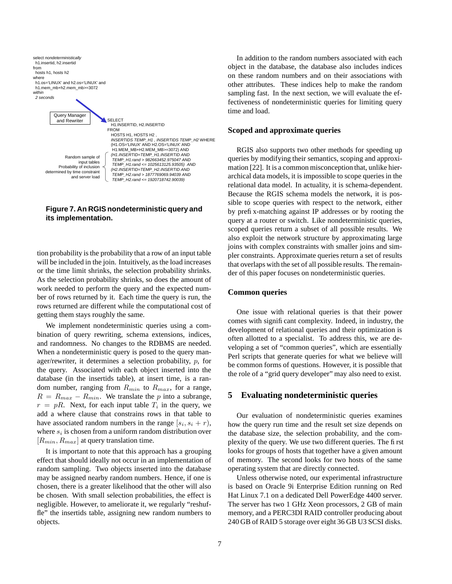

**Figure 7. An RGIS nondeterministic query and its implementation.**

tion probability is the probability that a row of an input table will be included in the join. Intuitively, as the load increases or the time limit shrinks, the selection probability shrinks. As the selection probability shrinks, so does the amount of work needed to perform the query and the expected number of rows returned by it. Each time the query is run, the rows returned are different while the computational cost of getting them stays roughly the same.

We implement nondeterministic queries using a combination of query rewriting, schema extensions, indices, and randomness. No changes to the RDBMS are needed. When a nondeterministic query is posed to the query manager/rewriter, it determines a selection probability,  $p$ , for the query. Associated with each object inserted into the database (in the insertids table), at insert time, is a random number, ranging from  $R_{min}$  to  $R_{max}$ , for a range,  $R = R_{max} - R_{min}$ . We translate the p into a subrange,  $r = pR$ . Next, for each input table  $T_i$  in the query, we add a where clause that constrains rows in that table to have associated random numbers in the range  $[s_i, s_i + r]$ , where  $s_i$  is chosen from a uniform random distribution over  $[R_{min}, R_{max}]$  at query translation time.

It is important to note that this approach has a grouping effect that should ideally not occur in an implementation of random sampling. Two objects inserted into the database may be assigned nearby random numbers. Hence, if one is chosen, there is a greater likelihood that the other will also be chosen. With small selection probabilities, the effect is negligible. However, to ameliorate it, we regularly "reshuffle" the insertids table, assigning new random numbers to objects.

In addition to the random numbers associated with each object in the database, the database also includes indices on these random numbers and on their associations with other attributes. These indices help to make the random sampling fast. In the next section, we will evaluate the effectiveness of nondeterministic queries for limiting query time and load.

#### **Scoped and approximate queries**

RGIS also supports two other methods for speeding up queries by modifying their semantics, scoping and approximation [22]. It is a common misconception that, unlike hierarchical data models, it is impossible to scope queries in the relational data model. In actuality, it is schema-dependent. Because the RGIS schema models the network, it is possible to scope queries with respect to the network, either by prefix-matching against IP addresses or by rooting the query at a router or switch. Like nondeterministic queries, scoped queries return a subset of all possible results. We also exploit the network structure by approximating large joins with complex constraints with smaller joins and simpler constraints. Approximate queries return a set of results that overlaps with the set of all possible results. The remainder of this paper focuses on nondeterministic queries.

#### **Common queries**

One issue with relational queries is that their power comes with significant complexity. Indeed, in industry, the development of relational queries and their optimization is often allotted to a specialist. To address this, we are developing a set of "common queries", which are essentially Perl scripts that generate queries for what we believe will be common forms of questions. However, it is possible that the role of a "grid query developer" may also need to exist.

#### **5 Evaluating nondeterministic queries**

Our evaluation of nondeterministic queries examines how the query run time and the result set size depends on the database size, the selection probability, and the complexity of the query. We use two different queries. The first looks for groups of hosts that together have a given amount of memory. The second looks for two hosts of the same operating system that are directly connected.

Unless otherwise noted, our experimental infrastructure is based on Oracle 9i Enterprise Edition running on Red Hat Linux 7.1 on a dedicated Dell PowerEdge 4400 server. The server has two 1 GHz Xeon processors, 2 GB of main memory, and a PERC3DI RAID controller producing about 240 GB of RAID 5 storage over eight 36 GB U3 SCSI disks.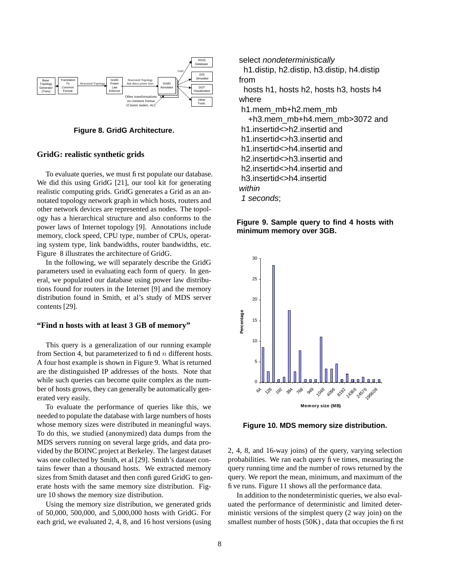

**Figure 8. GridG Architecture.**

## **GridG: realistic synthetic grids**

To evaluate queries, we must first populate our database. We did this using GridG [21], our tool kit for generating realistic computing grids. GridG generates a Grid as an annotated topology network graph in which hosts, routers and other network devices are represented as nodes. The topology has a hierarchical structure and also conforms to the power laws of Internet topology [9]. Annotations include memory, clock speed, CPU type, number of CPUs, operating system type, link bandwidths, router bandwidths, etc. Figure 8 illustrates the architecture of GridG.

In the following, we will separately describe the GridG parameters used in evaluating each form of query. In general, we populated our database using power law distributions found for routers in the Internet [9] and the memory distribution found in Smith, et al's study of MDS server contents [29].

#### **"Find n hosts with at least 3 GB of memory"**

This query is a generalization of our running example from Section 4, but parameterized to find  $n$  different hosts. A four host example is shown in Figure 9. What is returned are the distinguished IP addresses of the hosts. Note that while such queries can become quite complex as the number of hosts grows, they can generally be automatically generated very easily.

To evaluate the performance of queries like this, we needed to populate the database with large numbers of hosts whose memory sizes were distributed in meaningful ways. To do this, we studied (anonymized) data dumps from the MDS servers running on several large grids, and data provided by the BOINC project at Berkeley. The largest dataset was one collected by Smith, et al [29]. Smith's dataset contains fewer than a thousand hosts. We extracted memory sizes from Smith dataset and then configured GridG to generate hosts with the same memory size distribution. Figure 10 shows the memory size distribution.

Using the memory size distribution, we generated grids of 50,000, 500,000, and 5,000,000 hosts with GridG. For each grid, we evaluated 2, 4, 8, and 16 host versions (using select nondeterministically h1.distip, h2.distip, h3.distip, h4.distip from hosts h1, hosts h2, hosts h3, hosts h4 where h1.mem\_mb+h2.mem\_mb +h3.mem\_mb+h4.mem\_mb>3072 and h1.insertid<>h2.insertid and h1.insertid<>h3.insertid and h1.insertid<>h4.insertid and h2.insertid<>h3.insertid and h<sub>2</sub>.insertid<>h4.insertid and h3.insertid<>h4.insertid within 1 seconds;

**Figure 9. Sample query to find 4 hosts with minimum memory over 3GB.**



**Figure 10. MDS memory size distribution.**

2, 4, 8, and 16-way joins) of the query, varying selection probabilities. We ran each query five times, measuring the query running time and the number of rows returned by the query. We report the mean, minimum, and maximum of the five runs. Figure 11 shows all the performance data.

In addition to the nondeterministic queries, we also evaluated the performance of deterministic and limited deterministic versions of the simplest query (2 way join) on the smallest number of hosts (50K), data that occupies the first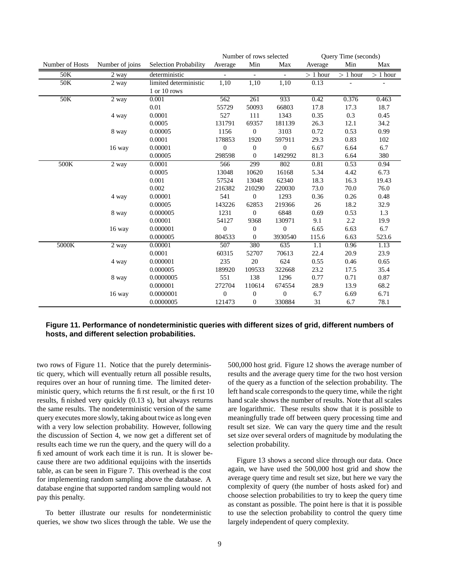|                                    |                               |                              | Number of rows selected |                          |                          | <b>Ouery Time</b> (seconds) |                          |            |
|------------------------------------|-------------------------------|------------------------------|-------------------------|--------------------------|--------------------------|-----------------------------|--------------------------|------------|
| Number of Hosts<br>Number of joins |                               | <b>Selection Probability</b> | Average                 | Min                      | Max                      | Average                     | Min                      | Max        |
| 50K                                | 2 way                         | deterministic                |                         | $\overline{\phantom{a}}$ | $\overline{\phantom{a}}$ | $> 1$ hour                  | $> 1$ hour               | $> 1$ hour |
| 50K                                | 2 way                         | limited deterministic        | 1,10                    | 1,10                     | 1,10                     | 0.13                        | $\overline{\phantom{a}}$ |            |
|                                    |                               | 1 or 10 rows                 |                         |                          |                          |                             |                          |            |
| 50K                                | 2 way                         | 0.001                        | 562                     | 261                      | 933                      | 0.42                        | 0.376                    | 0.463      |
|                                    | 0.01                          |                              | 55729                   | 50093                    | 66803                    | 17.8                        | 17.3                     | 18.7       |
|                                    | 4 way                         | 0.0001                       | 527                     | 111                      | 1343                     | 0.35                        | 0.3                      | 0.45       |
|                                    | 0.0005                        |                              | 131791                  | 69357                    | 181139                   | 26.3                        | 12.1                     | 34.2       |
|                                    | 8 way                         | 0.00005                      | 1156                    | $\overline{0}$           | 3103                     | 0.72                        | 0.53                     | 0.99       |
|                                    |                               | 0.0001                       | 178853                  | 1920                     | 597911                   | 29.3                        | 0.83                     | 102        |
|                                    | 16 way                        | 0.00001                      | $\mathbf{0}$            | $\mathbf{0}$             | $\overline{0}$           | 6.67                        | 6.64                     | 6.7        |
|                                    |                               | 0.00005                      | 298598                  | $\Omega$                 | 1492992                  | 81.3                        | 6.64                     | 380        |
| 500K                               | 2 way                         | 0.0001                       | 566                     | 299                      | 802                      | 0.81                        | 0.53                     | 0.94       |
|                                    |                               | 0.0005                       | 13048                   | 10620                    | 16168                    | 5.34                        | 4.42                     | 6.73       |
|                                    |                               | 0.001                        | 57524                   | 13048                    | 62340                    | 18.3                        | 16.3                     | 19.43      |
|                                    |                               | 0.002                        | 216382                  | 210290                   | 220030                   | 73.0                        | 70.0                     | 76.0       |
|                                    | 0.00001<br>4 way              |                              | 541                     | $\mathbf{0}$             | 1293                     | 0.36                        | 0.26                     | 0.48       |
|                                    |                               | 0.00005                      | 143226                  | 62853                    | 219366                   | 26                          | 18.2                     | 32.9       |
|                                    | 8 way                         | 0.000005                     | 1231                    | $\mathbf{0}$             | 6848                     | 0.69                        | 0.53                     | 1.3        |
|                                    | 0.00001<br>0.000001<br>16 way |                              | 54127                   | 9368                     | 130971                   | 9.1                         | 2.2                      | 19.9       |
|                                    |                               |                              | $\mathbf{0}$            | $\boldsymbol{0}$         | $\mathbf{0}$             | 6.65                        | 6.63                     | 6.7        |
|                                    |                               | 0.000005                     | 804533                  | $\mathbf{0}$             | 3930540                  | 115.6                       | 6.63                     | 523.6      |
| 5000K                              | 2 way                         | 0.00001                      | 507                     | 380                      | 635                      | 1.1                         | 0.96                     | 1.13       |
|                                    |                               | 0.0001                       | 60315                   | 52707                    | 70613                    | 22.4                        | 20.9                     | 23.9       |
|                                    | 4 way                         | 0.000001                     | 235                     | 20                       | 624                      | 0.55                        | 0.46                     | 0.65       |
|                                    |                               | 0.000005                     | 189920                  | 109533                   | 322668                   | 23.2                        | 17.5                     | 35.4       |
|                                    | 8 way                         | 0.0000005                    | 551                     | 138                      | 1296                     | 0.77                        | 0.71                     | 0.87       |
|                                    |                               | 0.000001                     | 272704                  | 110614                   | 674554                   | 28.9                        | 13.9                     | 68.2       |
| 0.0000001<br>16 way                |                               | $\boldsymbol{0}$             | $\mathbf{0}$            | $\theta$                 | 6.7                      | 6.69                        | 6.71                     |            |
|                                    |                               | 0.0000005                    | 121473                  | 0                        | 330884                   | 31                          | 6.7                      | 78.1       |

**Figure 11. Performance of nondeterministic queries with different sizes of grid, different numbers of hosts, and different selection probabilities.**

two rows of Figure 11. Notice that the purely deterministic query, which will eventually return all possible results, requires over an hour of running time. The limited deterministic query, which returns the first result, or the first 10 results, finished very quickly (0.13 s), but always returns the same results. The nondeterministic version of the same query executes more slowly, taking about twice as long even with a very low selection probability. However, following the discussion of Section 4, we now get a different set of results each time we run the query, and the query will do a fixed amount of work each time it is run. It is slower because there are two additional equijoins with the insertids table, as can be seen in Figure 7. This overhead is the cost for implementing random sampling above the database. A database engine that supported random sampling would not pay this penalty.

To better illustrate our results for nondeterministic queries, we show two slices through the table. We use the

500,000 host grid. Figure 12 shows the average number of results and the average query time for the two host version of the query as a function of the selection probability. The left hand scale corresponds to the query time, while the right hand scale shows the number of results. Note that all scales are logarithmic. These results show that it is possible to meaningfully trade off between query processing time and result set size. We can vary the query time and the result set size over several orders of magnitude by modulating the selection probability.

Figure 13 shows a second slice through our data. Once again, we have used the 500,000 host grid and show the average query time and result set size, but here we vary the complexity of query (the number of hosts asked for) and choose selection probabilities to try to keep the query time as constant as possible. The point here is that it is possible to use the selection probability to control the query time largely independent of query complexity.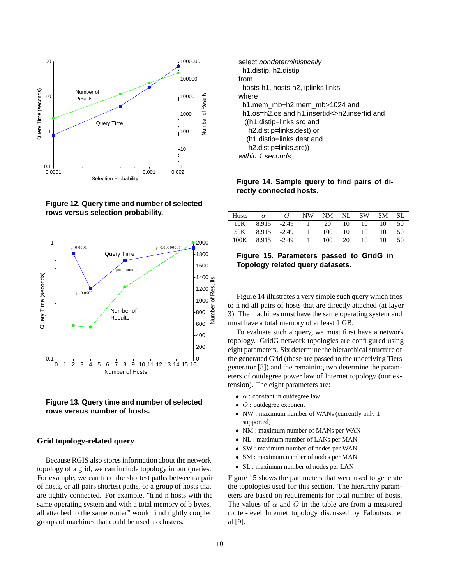

**Figure 12. Query time and number of selected rows versus selection probability.**



**Figure 13. Query time and number of selected rows versus number of hosts.**

# **Grid topology-related query**

Because RGIS also stores information about the network topology of a grid, we can include topology in our queries. For example, we can find the shortest paths between a pair of hosts, or all pairs shortest paths, or a group of hosts that are tightly connected. For example, "find n hosts with the same operating system and with a total memory of b bytes, all attached to the same router" would find tightly coupled groups of machines that could be used as clusters.

select nondeterministically h1.distip, h2.distip from hosts h1, hosts h2, iplinks links where h1.mem\_mb+h2.mem\_mb>1024 and h1.os=h2.os and h1.insertid<>h2.insertid and ((h1.distip=links.src and h2.distip=links.dest) or (h1.distip=links.dest and h2.distip=links.src)) within 1 seconds;

### **Figure 14. Sample query to find pairs of directly connected hosts.**

| Hosts | $\alpha$                         | O NW NM NL SW SM SL |  |                 |                 |      |
|-------|----------------------------------|---------------------|--|-----------------|-----------------|------|
|       | 10K 8.915 -2.49 1 20 10 10 10 50 |                     |  |                 |                 |      |
|       | 50K 8.915 -2.49 1 100 10 10 10   |                     |  |                 |                 | - 50 |
|       | 100K 8.915 -2.49 1 100 20        |                     |  | $\overline{10}$ | $\overline{10}$ | -50  |

# **Figure 15. Parameters passed to GridG in Topology related query datasets.**

Figure 14 illustrates a very simple such query which tries to find all pairs of hosts that are directly attached (at layer 3). The machines must have the same operating system and must have a total memory of at least 1 GB.

To evaluate such a query, we must first have a network topology. GridG network topologies are configured using eight parameters. Six determine the hierarchical structure of the generated Grid (these are passed to the underlying Tiers generator [8]) and the remaining two determine the parameters of outdegree power law of Internet topology (our extension). The eight parameters are:

- $\alpha$  : constant in outdegree law
- $\bullet$  *O* : outdegree exponent
- NW : maximum number of WANs (currently only 1 supported)
- NM : maximum number of MANs per WAN
- NL : maximum number of LANs per MAN
- SW : maximum number of nodes per WAN
- SM : maximum number of nodes per MAN
- SL : maximum number of nodes per LAN

Figure 15 shows the parameters that were used to generate the topologies used for this section. The hierarchy parameters are based on requirements for total number of hosts. The values of  $\alpha$  and O in the table are from a measured router-level Internet topology discussed by Faloutsos, et al [9].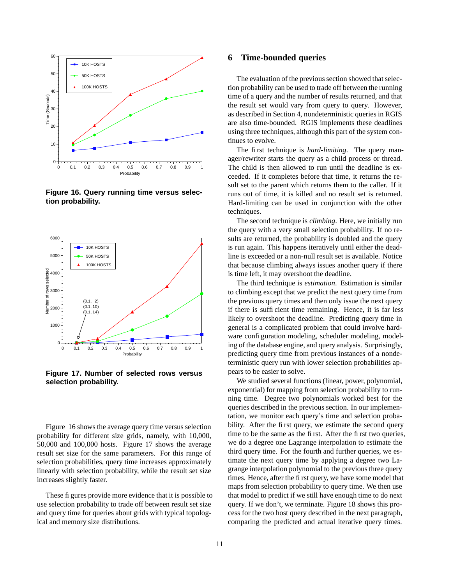

**Figure 16. Query running time versus selection probability.**



**Figure 17. Number of selected rows versus selection probability.**

Figure 16 shows the average query time versus selection probability for different size grids, namely, with 10,000, 50,000 and 100,000 hosts. Figure 17 shows the average result set size for the same parameters. For this range of selection probabilities, query time increases approximately linearly with selection probability, while the result set size increases slightly faster.

These figures provide more evidence that it is possible to use selection probability to trade off between result set size and query time for queries about grids with typical topological and memory size distributions.

### **6 Time-bounded queries**

The evaluation of the previous section showed that selection probability can be used to trade off between the running time of a query and the number of results returned, and that the result set would vary from query to query. However, as described in Section 4, nondeterministic queries in RGIS are also time-bounded. RGIS implements these deadlines using three techniques, although this part of the system continues to evolve.

The first technique is *hard-limiting*. The query manager/rewriter starts the query as a child process or thread. The child is then allowed to run until the deadline is exceeded. If it completes before that time, it returns the result set to the parent which returns them to the caller. If it runs out of time, it is killed and no result set is returned. Hard-limiting can be used in conjunction with the other techniques.

The second technique is *climbing*. Here, we initially run the query with a very small selection probability. If no results are returned, the probability is doubled and the query is run again. This happens iteratively until either the deadline is exceeded or a non-null result set is available. Notice that because climbing always issues another query if there is time left, it may overshoot the deadline.

The third technique is *estimation*. Estimation is similar to climbing except that we predict the next query time from the previous query times and then only issue the next query if there is sufficient time remaining. Hence, it is far less likely to overshoot the deadline. Predicting query time in general is a complicated problem that could involve hardware configuration modeling, scheduler modeling, modeling of the database engine, and query analysis. Surprisingly, predicting query time from previous instances of a nondeterministic query run with lower selection probabilities appears to be easier to solve.

We studied several functions (linear, power, polynomial, exponential) for mapping from selection probability to running time. Degree two polynomials worked best for the queries described in the previous section. In our implementation, we monitor each query's time and selection probability. After the first query, we estimate the second query time to be the same as the first. After the first two queries, we do a degree one Lagrange interpolation to estimate the third query time. For the fourth and further queries, we estimate the next query time by applying a degree two Lagrange interpolation polynomial to the previous three query times. Hence, after the first query, we have some model that maps from selection probability to query time. We then use that model to predict if we still have enough time to do next query. If we don't, we terminate. Figure 18 shows this process for the two host query described in the next paragraph, comparing the predicted and actual iterative query times.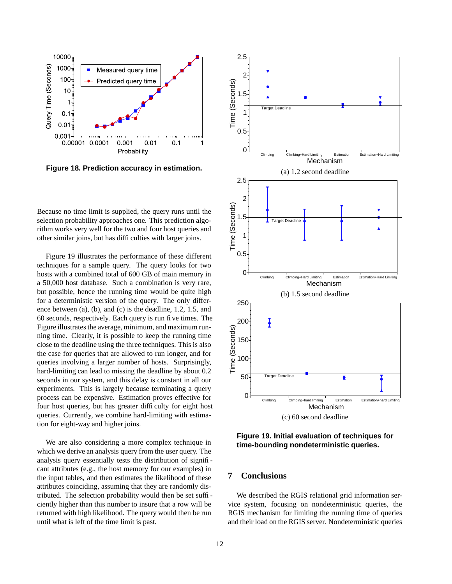

**Figure 18. Prediction accuracy in estimation.**

Because no time limit is supplied, the query runs until the selection probability approaches one. This prediction algorithm works very well for the two and four host queries and other similar joins, but has difficulties with larger joins.

Figure 19 illustrates the performance of these different techniques for a sample query. The query looks for two hosts with a combined total of 600 GB of main memory in a 50,000 host database. Such a combination is very rare, but possible, hence the running time would be quite high for a deterministic version of the query. The only difference between (a), (b), and (c) is the deadline, 1.2, 1.5, and 60 seconds, respectively. Each query is run five times. The Figure illustrates the average, minimum, and maximum running time. Clearly, it is possible to keep the running time close to the deadline using the three techniques. This is also the case for queries that are allowed to run longer, and for queries involving a larger number of hosts. Surprisingly, hard-limiting can lead to missing the deadline by about 0.2 seconds in our system, and this delay is constant in all our experiments. This is largely because terminating a query process can be expensive. Estimation proves effective for four host queries, but has greater difficulty for eight host queries. Currently, we combine hard-limiting with estimation for eight-way and higher joins.

We are also considering a more complex technique in which we derive an analysis query from the user query. The analysis query essentially tests the distribution of significant attributes (e.g., the host memory for our examples) in the input tables, and then estimates the likelihood of these attributes coinciding, assuming that they are randomly distributed. The selection probability would then be set sufficiently higher than this number to insure that a row will be returned with high likelihood. The query would then be run until what is left of the time limit is past.



**Figure 19. Initial evaluation of techniques for time-bounding nondeterministic queries.**

# **7 Conclusions**

We described the RGIS relational grid information service system, focusing on nondeterministic queries, the RGIS mechanism for limiting the running time of queries and their load on the RGIS server. Nondeterministic queries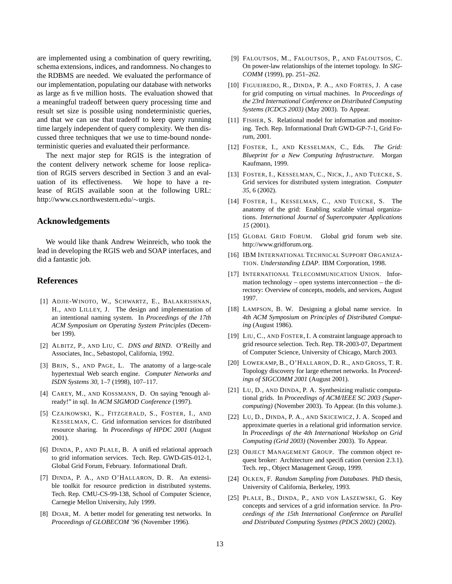are implemented using a combination of query rewriting, schema extensions, indices, and randomness. No changesto the RDBMS are needed. We evaluated the performance of our implementation, populating our database with networks as large as five million hosts. The evaluation showed that a meaningful tradeoff between query processing time and result set size is possible using nondeterministic queries, and that we can use that tradeoff to keep query running time largely independent of query complexity. We then discussed three techniques that we use to time-bound nondeterministic queries and evaluated their performance.

The next major step for RGIS is the integration of the content delivery network scheme for loose replication of RGIS servers described in Section 3 and an evaluation of its effectiveness. We hope to have a release of RGIS available soon at the following URL: http://www.cs.northwestern.edu/∼urgis.

#### **Acknowledgements**

We would like thank Andrew Weinreich, who took the lead in developing the RGIS web and SOAP interfaces, and did a fantastic job.

### **References**

- [1] ADJIE-WINOTO, W., SCHWARTZ, E., BALAKRISHNAN, H., AND LILLEY, J. The design and implementation of an intentional naming system. In *Proceedings of the 17th ACM Symposium on Operating System Principles* (December 199).
- [2] ALBITZ, P., AND LIU, C. *DNS and BIND*. O'Reilly and Associates, Inc., Sebastopol, California, 1992.
- [3] BRIN, S., AND PAGE, L. The anatomy of a large-scale hypertextual Web search engine. *Computer Networks and ISDN Systems 30*, 1–7 (1998), 107–117.
- [4] CAREY, M., AND KOSSMANN, D. On saying "enough already!" in sql. In *ACM SIGMOD Conference* (1997).
- [5] CZAJKOWSKI, K., FITZGERALD, S., FOSTER, I., AND KESSELMAN, C. Grid information services for distributed resource sharing. In *Proceedings of HPDC 2001* (August 2001).
- [6] DINDA, P., AND PLALE, B. A unified relational approach to grid information services. Tech. Rep. GWD-GIS-012-1, Global Grid Forum, February. Informational Draft.
- [7] DINDA, P. A., AND O'HALLARON, D. R. An extensible toolkit for resource prediction in distributed systems. Tech. Rep. CMU-CS-99-138, School of Computer Science, Carnegie Mellon University, July 1999.
- [8] DOAR, M. A better model for generating test networks. In *Proceedings of GLOBECOM '96* (November 1996).
- [9] FALOUTSOS, M., FALOUTSOS, P., AND FALOUTSOS, C. On power-law relationships of the internet topology. In *SIG-COMM* (1999), pp. 251–262.
- [10] FIGUEIREDO, R., DINDA, P. A., AND FORTES, J. A case for grid computing on virtual machines. In *Proceedings of the 23rd International Conference on Distributed Computing Systems (ICDCS 2003)* (May 2003). To Appear.
- [11] FISHER, S. Relational model for information and monitoring. Tech. Rep. Informational Draft GWD-GP-7-1, Grid Forum, 2001.
- [12] FOSTER, I., AND KESSELMAN, C., Eds. *The Grid: Blueprint for a New Computing Infrastructure*. Morgan Kaufmann, 1999.
- [13] FOSTER, I., KESSELMAN, C., NICK, J., AND TUECKE, S. Grid services for distributed system integration. *Computer 35*, 6 (2002).
- [14] FOSTER, I., KESSELMAN, C., AND TUECKE, S. The anatomy of the grid: Enabling scalable virtual organizations. *International Journal of Supercomputer Applications 15* (2001).
- [15] GLOBAL GRID FORUM. Global grid forum web site. http://www.gridforum.org.
- [16] IBM INTERNATIONAL TECHNICAL SUPPORT ORGANIZA-TION. *Understanding LDAP*. IBM Corporation, 1998.
- [17] INTERNATIONAL TELECOMMUNICATION UNION. Information technology – open systems interconnection – the directory: Overview of concepts, models, and services, August 1997.
- [18] LAMPSON, B. W. Designing a global name service. In *4th ACM Symposium on Principles of Distributed Computing* (August 1986).
- [19] LIU, C., AND FOSTER, I. A constraint language approach to grid resource selection. Tech. Rep. TR-2003-07, Department of Computer Science, University of Chicago, March 2003.
- [20] LOWEKAMP, B., O'HALLARON, D. R., AND GROSS, T. R. Topology discovery for large ethernet networks. In *Proceedings of SIGCOMM 2001* (August 2001).
- [21] LU, D., AND DINDA, P. A. Synthesizing realistic computational grids. In *Proceedings of ACM/IEEE SC 2003 (Supercomputing)* (November 2003). To Appear. (In this volume.).
- [22] LU, D., DINDA, P. A., AND SKICEWICZ, J. A. Scoped and approximate queries in a relational grid information service. In *Proceedings of the 4th International Workshop on Grid Computing (Grid 2003)* (November 2003). To Appear.
- [23] OBJECT MANAGEMENT GROUP. The common object request broker: Architecture and specification (version 2.3.1). Tech. rep., Object Management Group, 1999.
- [24] OLKEN, F. *Random Sampling from Databases*. PhD thesis, University of California, Berkeley, 1993.
- [25] PLALE, B., DINDA, P., AND VON LASZEWSKI, G. Key concepts and services of a grid information service. In *Proceedings of the 15th International Conference on Parallel and Distributed Computing Systmes (PDCS 2002)* (2002).